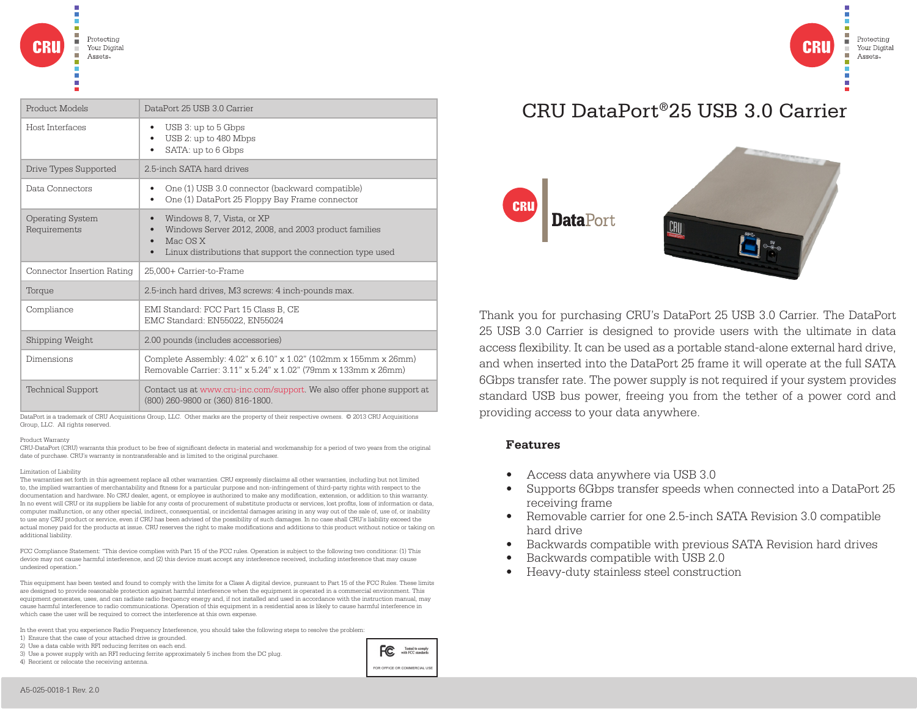| Product Models                          | DataPort 25 USB 3.0 Carrier                                                                                                                                 |
|-----------------------------------------|-------------------------------------------------------------------------------------------------------------------------------------------------------------|
| Host Interfaces                         | USB 3: up to 5 Gbps<br>USB 2: up to 480 Mbps<br>SATA: up to 6 Gbps                                                                                          |
| Drive Types Supported                   | 2.5-inch SATA hard drives                                                                                                                                   |
| Data Connectors                         | One (1) USB 3.0 connector (backward compatible)<br>One (1) DataPort 25 Floppy Bay Frame connector<br>٠                                                      |
| <b>Operating System</b><br>Requirements | Windows 8, 7, Vista, or XP<br>Windows Server 2012, 2008, and 2003 product families<br>Mac OS X<br>Linux distributions that support the connection type used |
| Connector Insertion Rating              | 25,000+ Carrier-to-Frame                                                                                                                                    |
| Torque                                  | 2.5-inch hard drives, M3 screws: 4 inch-pounds max.                                                                                                         |
| Compliance                              | EMI Standard: FCC Part 15 Class B, CE<br>EMC Standard: EN55022, EN55024                                                                                     |
| Shipping Weight                         | 2.00 pounds (includes accessories)                                                                                                                          |
| Dimensions                              | Complete Assembly: 4.02" x 6.10" x 1.02" (102mm x 155mm x 26mm)<br>Removable Carrier: 3.11" x 5.24" x 1.02" (79mm x 133mm x 26mm)                           |
| <b>Technical Support</b>                | Contact us at www.cru-inc.com/support. We also offer phone support at<br>(800) 260-9800 or (360) 816-1800.                                                  |

DataPort is a trademark of CRU Acquisitions Group, LLC. Other marks are the property of their respective owners. © 2013 CRU Acquisitions Group, LLC. All rights reserved.

#### Product Warranty

CRU-DataPort (CRU) warrants this product to be free of significant defects in material and workmanship for a period of two years from the original date of purchase. CRU's warranty is nontransferable and is limited to the original purchaser.

### Limitation of Liability

The warranties set forth in this agreement replace all other warranties. CRU expressly disclaims all other warranties, including but not limited to, the implied warranties of merchantability and fitness for a particular purpose and non-infringement of third-party rights with respect to the documentation and hardware. No CRU dealer, agent, or employee is authorized to make any modification, extension, or addition to this warranty. In no event will CRU or its suppliers be liable for any costs of procurement of substitute products or services, lost profits, loss of information or data, computer malfunction, or any other special, indirect, consequential, or incidental damages arising in any way out of the sale of, use of, or inability to use any CRU product or service, even if CRU has been advised of the possibility of such damages. In no case shall CRU's liability exceed the actual money paid for the products at issue. CRU reserves the right to make modifications and additions to this product without notice or taking on additional liability.

FCC Compliance Statement: "This device complies with Part 15 of the FCC rules. Operation is subject to the following two conditions: (1) This device may not cause harmful interference, and (2) this device must accept any interference received, including interference that may cause undesired operation."

This equipment has been tested and found to comply with the limits for a Class A digital device, pursuant to Part 15 of the FCC Rules. These limits are designed to provide reasonable protection against harmful interference when the equipment is operated in a commercial environment. This equipment generates, uses, and can radiate radio frequency energy and, if not installed and used in accordance with the instruction manual, may cause harmful interference to radio communications. Operation of this equipment in a residential area is likely to cause harmful interference in which case the user will be required to correct the interference at this own expense.

In the event that you experience Radio Frequency Interference, you should take the following steps to resolve the problem:

- 1) Ensure that the case of your attached drive is grounded.
- 2) Use a data cable with RFI reducing ferrites on each end.
- 3) Use a power supply with an RFI reducing ferrite approximately 5 inches from the DC plug.

4) Reorient or relocate the receiving antenna.



# CRU DataPort®25 USB 3.0 Carrier

Protectino

Assets

Your Digital



Thank you for purchasing CRU's DataPort 25 USB 3.0 Carrier. The DataPort 25 USB 3.0 Carrier is designed to provide users with the ultimate in data access flexibility. It can be used as a portable stand-alone external hard drive, and when inserted into the DataPort 25 frame it will operate at the full SATA 6Gbps transfer rate. The power supply is not required if your system provides standard USB bus power, freeing you from the tether of a power cord and providing access to your data anywhere.

## **Features**

- Access data anywhere via USB 3.0
- Supports 6Gbps transfer speeds when connected into a DataPort 25 receiving frame
- Removable carrier for one 2.5-inch SATA Revision 3.0 compatible hard drive
- Backwards compatible with previous SATA Revision hard drives
- Backwards compatible with USB 2.0
- Heavy-duty stainless steel construction